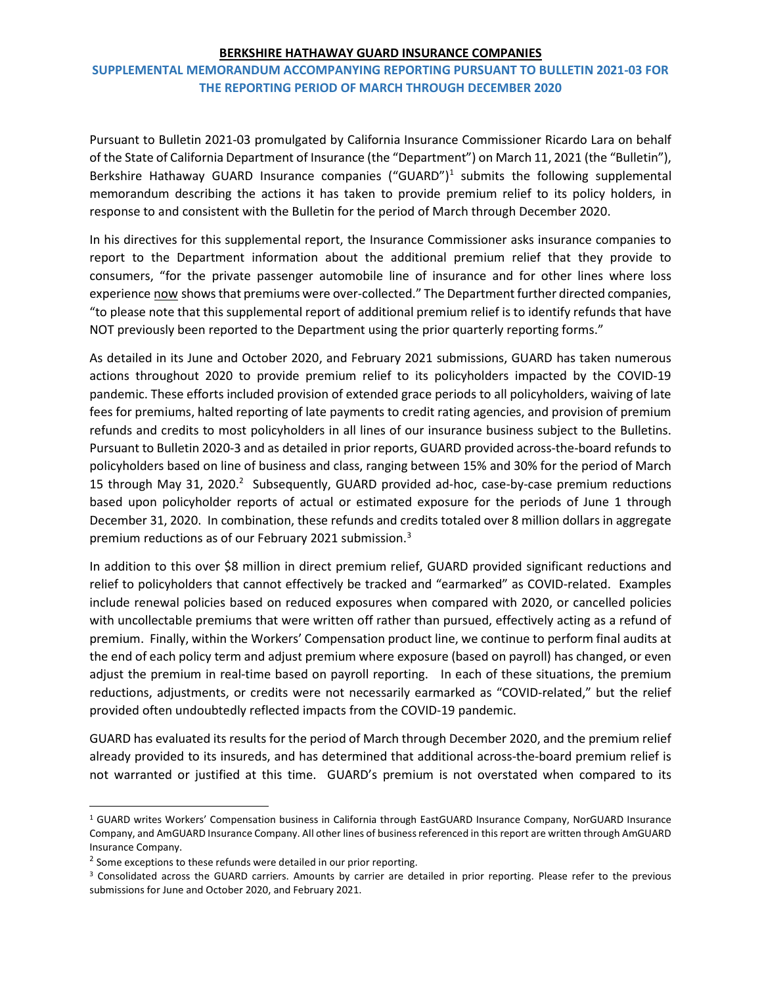## BERKSHIRE HATHAWAY GUARD INSURANCE COMPANIES

## SUPPLEMENTAL MEMORANDUM ACCOMPANYING REPORTING PURSUANT TO BULLETIN 2021-03 FOR THE REPORTING PERIOD OF MARCH THROUGH DECEMBER 2020

Pursuant to Bulletin 2021-03 promulgated by California Insurance Commissioner Ricardo Lara on behalf of the State of California Department of Insurance (the "Department") on March 11, 2021 (the "Bulletin"), Berkshire Hathaway GUARD Insurance companies ("GUARD")<sup>1</sup> submits the following supplemental memorandum describing the actions it has taken to provide premium relief to its policy holders, in response to and consistent with the Bulletin for the period of March through December 2020.

In his directives for this supplemental report, the Insurance Commissioner asks insurance companies to report to the Department information about the additional premium relief that they provide to consumers, "for the private passenger automobile line of insurance and for other lines where loss experience now shows that premiums were over-collected." The Department further directed companies, "to please note that this supplemental report of additional premium relief is to identify refunds that have NOT previously been reported to the Department using the prior quarterly reporting forms."

As detailed in its June and October 2020, and February 2021 submissions, GUARD has taken numerous actions throughout 2020 to provide premium relief to its policyholders impacted by the COVID-19 pandemic. These efforts included provision of extended grace periods to all policyholders, waiving of late fees for premiums, halted reporting of late payments to credit rating agencies, and provision of premium refunds and credits to most policyholders in all lines of our insurance business subject to the Bulletins. Pursuant to Bulletin 2020-3 and as detailed in prior reports, GUARD provided across-the-board refunds to policyholders based on line of business and class, ranging between 15% and 30% for the period of March 15 through May 31, 2020.<sup>2</sup> Subsequently, GUARD provided ad-hoc, case-by-case premium reductions based upon policyholder reports of actual or estimated exposure for the periods of June 1 through December 31, 2020. In combination, these refunds and credits totaled over 8 million dollars in aggregate premium reductions as of our February 2021 submission.<sup>3</sup>

In addition to this over \$8 million in direct premium relief, GUARD provided significant reductions and relief to policyholders that cannot effectively be tracked and "earmarked" as COVID-related. Examples include renewal policies based on reduced exposures when compared with 2020, or cancelled policies with uncollectable premiums that were written off rather than pursued, effectively acting as a refund of premium. Finally, within the Workers' Compensation product line, we continue to perform final audits at the end of each policy term and adjust premium where exposure (based on payroll) has changed, or even adjust the premium in real-time based on payroll reporting. In each of these situations, the premium reductions, adjustments, or credits were not necessarily earmarked as "COVID-related," but the relief provided often undoubtedly reflected impacts from the COVID-19 pandemic.

GUARD has evaluated its results for the period of March through December 2020, and the premium relief already provided to its insureds, and has determined that additional across-the-board premium relief is not warranted or justified at this time. GUARD's premium is not overstated when compared to its

<sup>&</sup>lt;sup>1</sup> GUARD writes Workers' Compensation business in California through EastGUARD Insurance Company, NorGUARD Insurance Company, and AmGUARD Insurance Company. All other lines of business referenced in this report are written through AmGUARD Insurance Company.

<sup>&</sup>lt;sup>2</sup> Some exceptions to these refunds were detailed in our prior reporting.

<sup>&</sup>lt;sup>3</sup> Consolidated across the GUARD carriers. Amounts by carrier are detailed in prior reporting. Please refer to the previous submissions for June and October 2020, and February 2021.